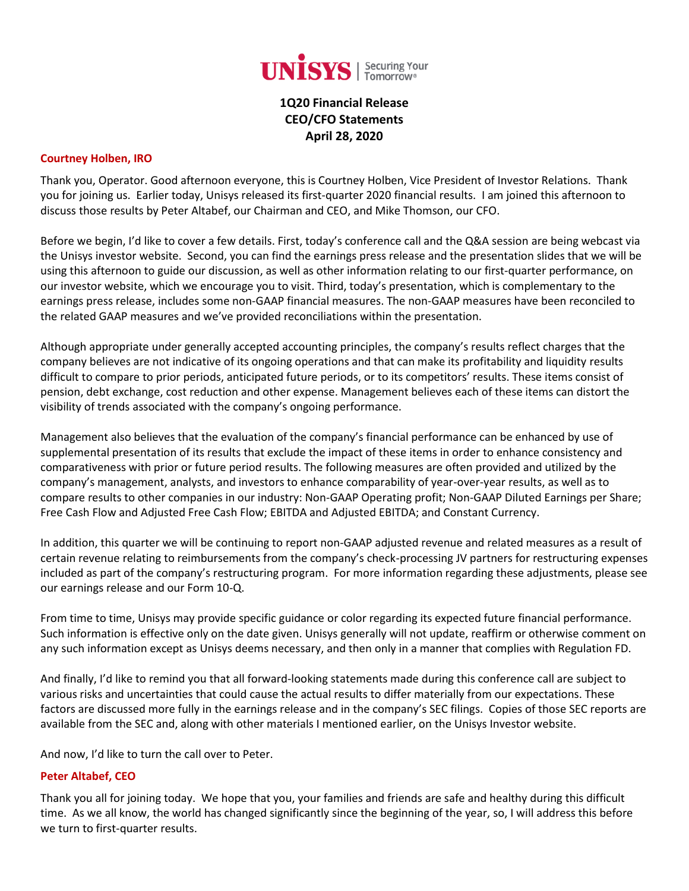

# **1Q20 Financial Release CEO/CFO Statements April 28, 2020**

#### **Courtney Holben, IRO**

Thank you, Operator. Good afternoon everyone, this is Courtney Holben, Vice President of Investor Relations. Thank you for joining us. Earlier today, Unisys released its first-quarter 2020 financial results. I am joined this afternoon to discuss those results by Peter Altabef, our Chairman and CEO, and Mike Thomson, our CFO.

Before we begin, I'd like to cover a few details. First, today's conference call and the Q&A session are being webcast via the Unisys investor website. Second, you can find the earnings press release and the presentation slides that we will be using this afternoon to guide our discussion, as well as other information relating to our first-quarter performance, on our investor website, which we encourage you to visit. Third, today's presentation, which is complementary to the earnings press release, includes some non‐GAAP financial measures. The non‐GAAP measures have been reconciled to the related GAAP measures and we've provided reconciliations within the presentation.

Although appropriate under generally accepted accounting principles, the company's results reflect charges that the company believes are not indicative of its ongoing operations and that can make its profitability and liquidity results difficult to compare to prior periods, anticipated future periods, or to its competitors' results. These items consist of pension, debt exchange, cost reduction and other expense. Management believes each of these items can distort the visibility of trends associated with the company's ongoing performance.

Management also believes that the evaluation of the company's financial performance can be enhanced by use of supplemental presentation of its results that exclude the impact of these items in order to enhance consistency and comparativeness with prior or future period results. The following measures are often provided and utilized by the company's management, analysts, and investors to enhance comparability of year-over-year results, as well as to compare results to other companies in our industry: Non-GAAP Operating profit; Non-GAAP Diluted Earnings per Share; Free Cash Flow and Adjusted Free Cash Flow; EBITDA and Adjusted EBITDA; and Constant Currency.

In addition, this quarter we will be continuing to report non-GAAP adjusted revenue and related measures as a result of certain revenue relating to reimbursements from the company's check-processing JV partners for restructuring expenses included as part of the company's restructuring program. For more information regarding these adjustments, please see our earnings release and our Form 10-Q.

From time to time, Unisys may provide specific guidance or color regarding its expected future financial performance. Such information is effective only on the date given. Unisys generally will not update, reaffirm or otherwise comment on any such information except as Unisys deems necessary, and then only in a manner that complies with Regulation FD.

And finally, I'd like to remind you that all forward-looking statements made during this conference call are subject to various risks and uncertainties that could cause the actual results to differ materially from our expectations. These factors are discussed more fully in the earnings release and in the company's SEC filings. Copies of those SEC reports are available from the SEC and, along with other materials I mentioned earlier, on the Unisys Investor website.

And now, I'd like to turn the call over to Peter.

### **Peter Altabef, CEO**

Thank you all for joining today. We hope that you, your families and friends are safe and healthy during this difficult time. As we all know, the world has changed significantly since the beginning of the year, so, I will address this before we turn to first-quarter results.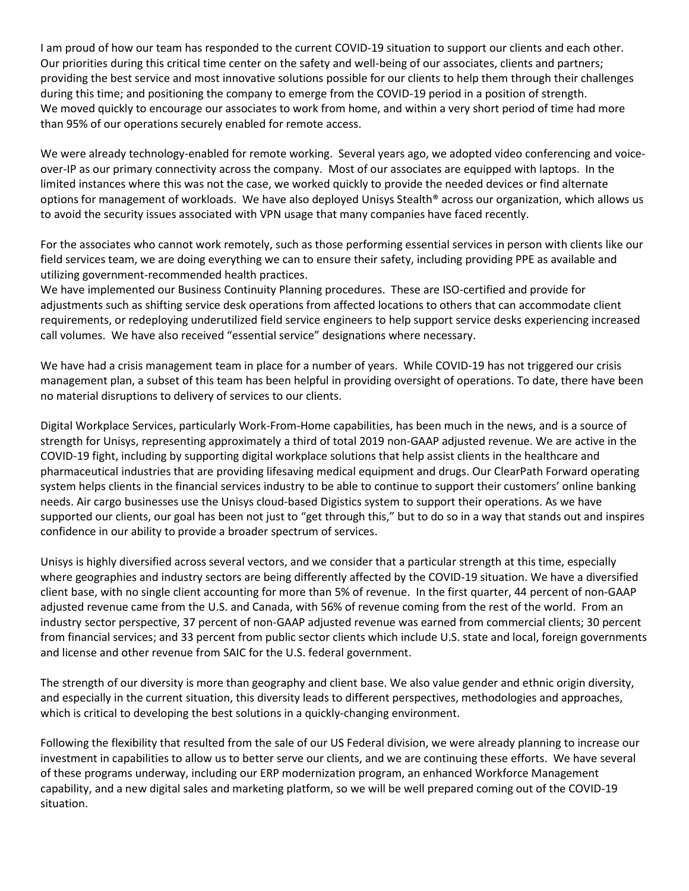I am proud of how our team has responded to the current COVID-19 situation to support our clients and each other. Our priorities during this critical time center on the safety and well-being of our associates, clients and partners; providing the best service and most innovative solutions possible for our clients to help them through their challenges during this time; and positioning the company to emerge from the COVID-19 period in a position of strength. We moved quickly to encourage our associates to work from home, and within a very short period of time had more than 95% of our operations securely enabled for remote access.

We were already technology-enabled for remote working. Several years ago, we adopted video conferencing and voiceover-IP as our primary connectivity across the company. Most of our associates are equipped with laptops. In the limited instances where this was not the case, we worked quickly to provide the needed devices or find alternate options for management of workloads. We have also deployed Unisys Stealth® across our organization, which allows us to avoid the security issues associated with VPN usage that many companies have faced recently.

For the associates who cannot work remotely, such as those performing essential services in person with clients like our field services team, we are doing everything we can to ensure their safety, including providing PPE as available and utilizing government-recommended health practices.

We have implemented our Business Continuity Planning procedures. These are ISO-certified and provide for adjustments such as shifting service desk operations from affected locations to others that can accommodate client requirements, or redeploying underutilized field service engineers to help support service desks experiencing increased call volumes. We have also received "essential service" designations where necessary.

We have had a crisis management team in place for a number of years. While COVID-19 has not triggered our crisis management plan, a subset of this team has been helpful in providing oversight of operations. To date, there have been no material disruptions to delivery of services to our clients.

Digital Workplace Services, particularly Work-From-Home capabilities, has been much in the news, and is a source of strength for Unisys, representing approximately a third of total 2019 non-GAAP adjusted revenue. We are active in the COVID-19 fight, including by supporting digital workplace solutions that help assist clients in the healthcare and pharmaceutical industries that are providing lifesaving medical equipment and drugs. Our ClearPath Forward operating system helps clients in the financial services industry to be able to continue to support their customers' online banking needs. Air cargo businesses use the Unisys cloud-based Digistics system to support their operations. As we have supported our clients, our goal has been not just to "get through this," but to do so in a way that stands out and inspires confidence in our ability to provide a broader spectrum of services.

Unisys is highly diversified across several vectors, and we consider that a particular strength at this time, especially where geographies and industry sectors are being differently affected by the COVID-19 situation. We have a diversified client base, with no single client accounting for more than 5% of revenue. In the first quarter, 44 percent of non-GAAP adjusted revenue came from the U.S. and Canada, with 56% of revenue coming from the rest of the world. From an industry sector perspective, 37 percent of non-GAAP adjusted revenue was earned from commercial clients; 30 percent from financial services; and 33 percent from public sector clients which include U.S. state and local, foreign governments and license and other revenue from SAIC for the U.S. federal government.

The strength of our diversity is more than geography and client base. We also value gender and ethnic origin diversity, and especially in the current situation, this diversity leads to different perspectives, methodologies and approaches, which is critical to developing the best solutions in a quickly-changing environment.

Following the flexibility that resulted from the sale of our US Federal division, we were already planning to increase our investment in capabilities to allow us to better serve our clients, and we are continuing these efforts. We have several of these programs underway, including our ERP modernization program, an enhanced Workforce Management capability, and a new digital sales and marketing platform, so we will be well prepared coming out of the COVID-19 situation.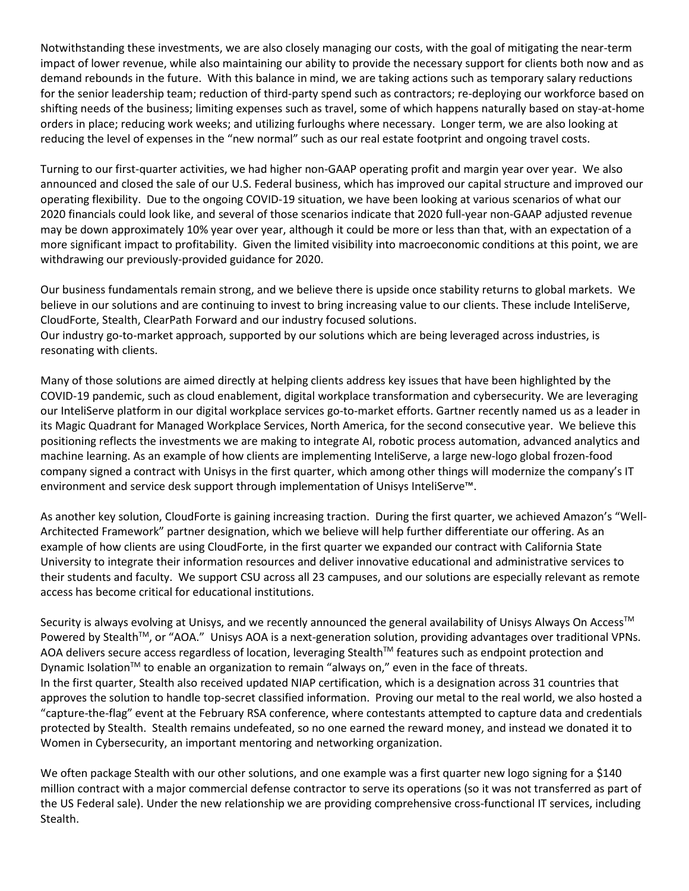Notwithstanding these investments, we are also closely managing our costs, with the goal of mitigating the near-term impact of lower revenue, while also maintaining our ability to provide the necessary support for clients both now and as demand rebounds in the future. With this balance in mind, we are taking actions such as temporary salary reductions for the senior leadership team; reduction of third-party spend such as contractors; re-deploying our workforce based on shifting needs of the business; limiting expenses such as travel, some of which happens naturally based on stay-at-home orders in place; reducing work weeks; and utilizing furloughs where necessary. Longer term, we are also looking at reducing the level of expenses in the "new normal" such as our real estate footprint and ongoing travel costs.

Turning to our first-quarter activities, we had higher non-GAAP operating profit and margin year over year. We also announced and closed the sale of our U.S. Federal business, which has improved our capital structure and improved our operating flexibility. Due to the ongoing COVID-19 situation, we have been looking at various scenarios of what our 2020 financials could look like, and several of those scenarios indicate that 2020 full-year non-GAAP adjusted revenue may be down approximately 10% year over year, although it could be more or less than that, with an expectation of a more significant impact to profitability. Given the limited visibility into macroeconomic conditions at this point, we are withdrawing our previously-provided guidance for 2020.

Our business fundamentals remain strong, and we believe there is upside once stability returns to global markets. We believe in our solutions and are continuing to invest to bring increasing value to our clients. These include InteliServe, CloudForte, Stealth, ClearPath Forward and our industry focused solutions.

Our industry go-to-market approach, supported by our solutions which are being leveraged across industries, is resonating with clients.

Many of those solutions are aimed directly at helping clients address key issues that have been highlighted by the COVID-19 pandemic, such as cloud enablement, digital workplace transformation and cybersecurity. We are leveraging our InteliServe platform in our digital workplace services go-to-market efforts. Gartner recently named us as a leader in its Magic Quadrant for Managed Workplace Services, North America, for the second consecutive year. We believe this positioning reflects the investments we are making to integrate AI, robotic process automation, advanced analytics and machine learning. As an example of how clients are implementing InteliServe, a large new-logo global frozen-food company signed a contract with Unisys in the first quarter, which among other things will modernize the company's IT environment and service desk support through implementation of Unisys InteliServe™.

As another key solution, CloudForte is gaining increasing traction. During the first quarter, we achieved Amazon's "Well-Architected Framework" partner designation, which we believe will help further differentiate our offering. As an example of how clients are using CloudForte, in the first quarter we expanded our contract with California State University to integrate their information resources and deliver innovative educational and administrative services to their students and faculty. We support CSU across all 23 campuses, and our solutions are especially relevant as remote access has become critical for educational institutions.

Security is always evolving at Unisys, and we recently announced the general availability of Unisys Always On Access™ Powered by Stealth™, or "AOA." Unisys AOA is a next-generation solution, providing advantages over traditional VPNs. AOA delivers secure access regardless of location, leveraging Stealth™ features such as endpoint protection and Dynamic Isolation™ to enable an organization to remain "always on," even in the face of threats. In the first quarter, Stealth also received updated NIAP certification, which is a designation across 31 countries that approves the solution to handle top-secret classified information. Proving our metal to the real world, we also hosted a "capture-the-flag" event at the February RSA conference, where contestants attempted to capture data and credentials protected by Stealth. Stealth remains undefeated, so no one earned the reward money, and instead we donated it to Women in Cybersecurity, an important mentoring and networking organization.

We often package Stealth with our other solutions, and one example was a first quarter new logo signing for a \$140 million contract with a major commercial defense contractor to serve its operations (so it was not transferred as part of the US Federal sale). Under the new relationship we are providing comprehensive cross-functional IT services, including Stealth.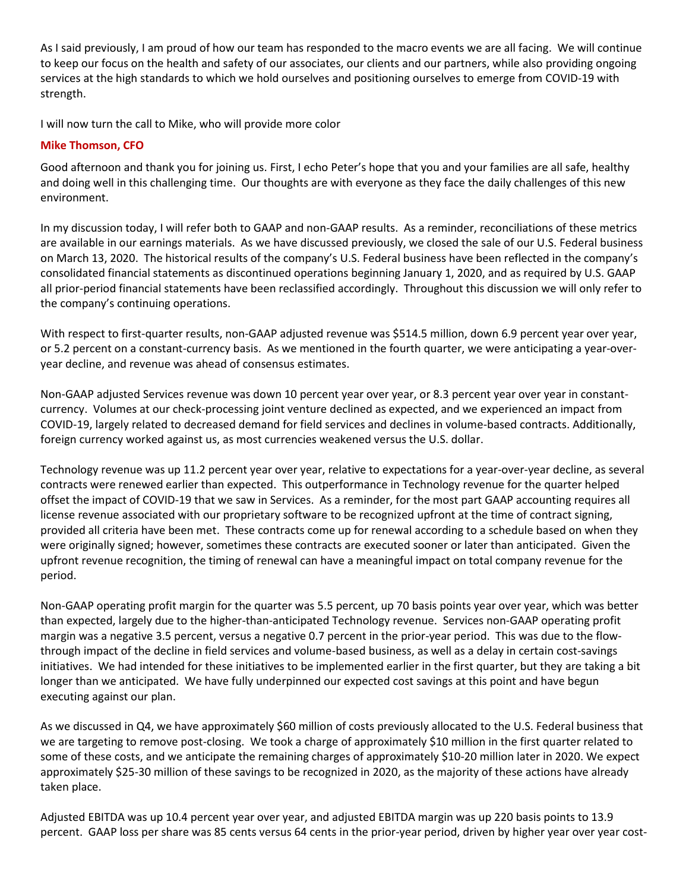As I said previously, I am proud of how our team has responded to the macro events we are all facing. We will continue to keep our focus on the health and safety of our associates, our clients and our partners, while also providing ongoing services at the high standards to which we hold ourselves and positioning ourselves to emerge from COVID-19 with strength.

I will now turn the call to Mike, who will provide more color

## **Mike Thomson, CFO**

Good afternoon and thank you for joining us. First, I echo Peter's hope that you and your families are all safe, healthy and doing well in this challenging time. Our thoughts are with everyone as they face the daily challenges of this new environment.

In my discussion today, I will refer both to GAAP and non-GAAP results. As a reminder, reconciliations of these metrics are available in our earnings materials. As we have discussed previously, we closed the sale of our U.S. Federal business on March 13, 2020. The historical results of the company's U.S. Federal business have been reflected in the company's consolidated financial statements as discontinued operations beginning January 1, 2020, and as required by U.S. GAAP all prior-period financial statements have been reclassified accordingly. Throughout this discussion we will only refer to the company's continuing operations.

With respect to first-quarter results, non-GAAP adjusted revenue was \$514.5 million, down 6.9 percent year over year, or 5.2 percent on a constant-currency basis. As we mentioned in the fourth quarter, we were anticipating a year-overyear decline, and revenue was ahead of consensus estimates.

Non-GAAP adjusted Services revenue was down 10 percent year over year, or 8.3 percent year over year in constantcurrency. Volumes at our check-processing joint venture declined as expected, and we experienced an impact from COVID-19, largely related to decreased demand for field services and declines in volume-based contracts. Additionally, foreign currency worked against us, as most currencies weakened versus the U.S. dollar.

Technology revenue was up 11.2 percent year over year, relative to expectations for a year-over-year decline, as several contracts were renewed earlier than expected. This outperformance in Technology revenue for the quarter helped offset the impact of COVID-19 that we saw in Services. As a reminder, for the most part GAAP accounting requires all license revenue associated with our proprietary software to be recognized upfront at the time of contract signing, provided all criteria have been met. These contracts come up for renewal according to a schedule based on when they were originally signed; however, sometimes these contracts are executed sooner or later than anticipated. Given the upfront revenue recognition, the timing of renewal can have a meaningful impact on total company revenue for the period.

Non-GAAP operating profit margin for the quarter was 5.5 percent, up 70 basis points year over year, which was better than expected, largely due to the higher-than-anticipated Technology revenue. Services non-GAAP operating profit margin was a negative 3.5 percent, versus a negative 0.7 percent in the prior-year period. This was due to the flowthrough impact of the decline in field services and volume-based business, as well as a delay in certain cost-savings initiatives. We had intended for these initiatives to be implemented earlier in the first quarter, but they are taking a bit longer than we anticipated. We have fully underpinned our expected cost savings at this point and have begun executing against our plan.

As we discussed in Q4, we have approximately \$60 million of costs previously allocated to the U.S. Federal business that we are targeting to remove post-closing. We took a charge of approximately \$10 million in the first quarter related to some of these costs, and we anticipate the remaining charges of approximately \$10-20 million later in 2020. We expect approximately \$25-30 million of these savings to be recognized in 2020, as the majority of these actions have already taken place.

Adjusted EBITDA was up 10.4 percent year over year, and adjusted EBITDA margin was up 220 basis points to 13.9 percent. GAAP loss per share was 85 cents versus 64 cents in the prior-year period, driven by higher year over year cost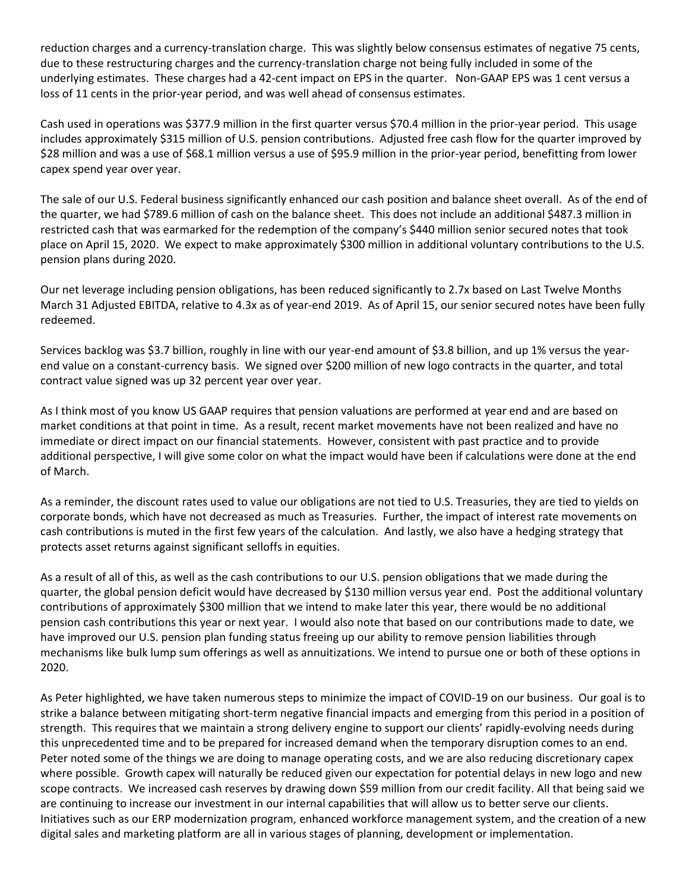reduction charges and a currency-translation charge. This was slightly below consensus estimates of negative 75 cents, due to these restructuring charges and the currency-translation charge not being fully included in some of the underlying estimates. These charges had a 42-cent impact on EPS in the quarter. Non-GAAP EPS was 1 cent versus a loss of 11 cents in the prior-year period, and was well ahead of consensus estimates.

Cash used in operations was \$377.9 million in the first quarter versus \$70.4 million in the prior-year period. This usage includes approximately \$315 million of U.S. pension contributions. Adjusted free cash flow for the quarter improved by \$28 million and was a use of \$68.1 million versus a use of \$95.9 million in the prior-year period, benefitting from lower capex spend year over year.

The sale of our U.S. Federal business significantly enhanced our cash position and balance sheet overall. As of the end of the quarter, we had \$789.6 million of cash on the balance sheet. This does not include an additional \$487.3 million in restricted cash that was earmarked for the redemption of the company's \$440 million senior secured notes that took place on April 15, 2020. We expect to make approximately \$300 million in additional voluntary contributions to the U.S. pension plans during 2020.

Our net leverage including pension obligations, has been reduced significantly to 2.7x based on Last Twelve Months March 31 Adjusted EBITDA, relative to 4.3x as of year-end 2019. As of April 15, our senior secured notes have been fully redeemed.

Services backlog was \$3.7 billion, roughly in line with our year-end amount of \$3.8 billion, and up 1% versus the yearend value on a constant-currency basis. We signed over \$200 million of new logo contracts in the quarter, and total contract value signed was up 32 percent year over year.

As I think most of you know US GAAP requires that pension valuations are performed at year end and are based on market conditions at that point in time. As a result, recent market movements have not been realized and have no immediate or direct impact on our financial statements. However, consistent with past practice and to provide additional perspective, I will give some color on what the impact would have been if calculations were done at the end of March.

As a reminder, the discount rates used to value our obligations are not tied to U.S. Treasuries, they are tied to yields on corporate bonds, which have not decreased as much as Treasuries. Further, the impact of interest rate movements on cash contributions is muted in the first few years of the calculation. And lastly, we also have a hedging strategy that protects asset returns against significant selloffs in equities.

As a result of all of this, as well as the cash contributions to our U.S. pension obligations that we made during the quarter, the global pension deficit would have decreased by \$130 million versus year end. Post the additional voluntary contributions of approximately \$300 million that we intend to make later this year, there would be no additional pension cash contributions this year or next year. I would also note that based on our contributions made to date, we have improved our U.S. pension plan funding status freeing up our ability to remove pension liabilities through mechanisms like bulk lump sum offerings as well as annuitizations. We intend to pursue one or both of these options in 2020.

As Peter highlighted, we have taken numerous steps to minimize the impact of COVID-19 on our business. Our goal is to strike a balance between mitigating short-term negative financial impacts and emerging from this period in a position of strength. This requires that we maintain a strong delivery engine to support our clients' rapidly-evolving needs during this unprecedented time and to be prepared for increased demand when the temporary disruption comes to an end. Peter noted some of the things we are doing to manage operating costs, and we are also reducing discretionary capex where possible. Growth capex will naturally be reduced given our expectation for potential delays in new logo and new scope contracts. We increased cash reserves by drawing down \$59 million from our credit facility. All that being said we are continuing to increase our investment in our internal capabilities that will allow us to better serve our clients. Initiatives such as our ERP modernization program, enhanced workforce management system, and the creation of a new digital sales and marketing platform are all in various stages of planning, development or implementation.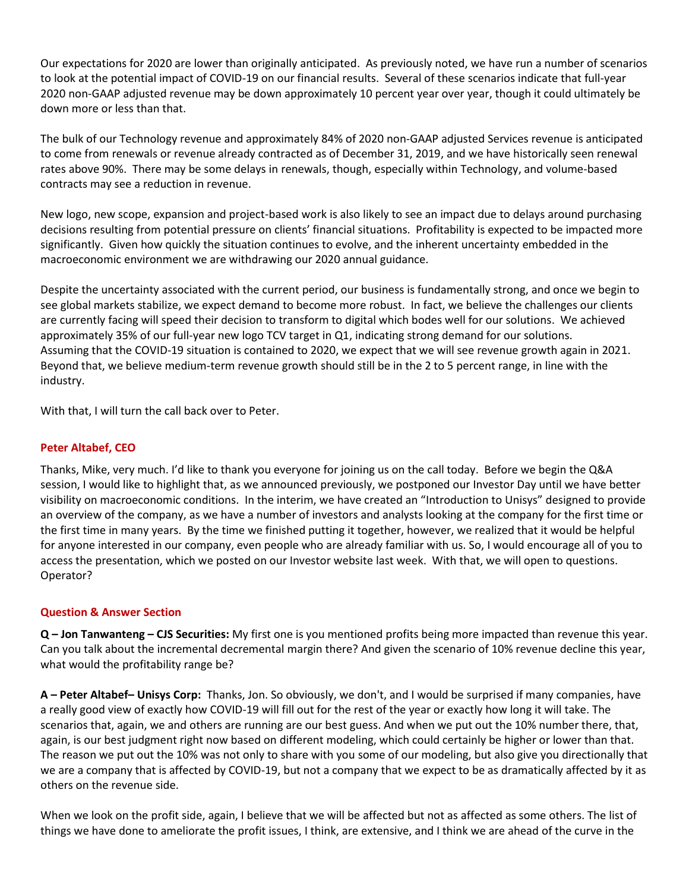Our expectations for 2020 are lower than originally anticipated. As previously noted, we have run a number of scenarios to look at the potential impact of COVID-19 on our financial results. Several of these scenarios indicate that full-year 2020 non-GAAP adjusted revenue may be down approximately 10 percent year over year, though it could ultimately be down more or less than that.

The bulk of our Technology revenue and approximately 84% of 2020 non-GAAP adjusted Services revenue is anticipated to come from renewals or revenue already contracted as of December 31, 2019, and we have historically seen renewal rates above 90%. There may be some delays in renewals, though, especially within Technology, and volume-based contracts may see a reduction in revenue.

New logo, new scope, expansion and project-based work is also likely to see an impact due to delays around purchasing decisions resulting from potential pressure on clients' financial situations. Profitability is expected to be impacted more significantly. Given how quickly the situation continues to evolve, and the inherent uncertainty embedded in the macroeconomic environment we are withdrawing our 2020 annual guidance.

Despite the uncertainty associated with the current period, our business is fundamentally strong, and once we begin to see global markets stabilize, we expect demand to become more robust. In fact, we believe the challenges our clients are currently facing will speed their decision to transform to digital which bodes well for our solutions. We achieved approximately 35% of our full-year new logo TCV target in Q1, indicating strong demand for our solutions. Assuming that the COVID-19 situation is contained to 2020, we expect that we will see revenue growth again in 2021. Beyond that, we believe medium-term revenue growth should still be in the 2 to 5 percent range, in line with the industry.

With that, I will turn the call back over to Peter.

## **Peter Altabef, CEO**

Thanks, Mike, very much. I'd like to thank you everyone for joining us on the call today. Before we begin the Q&A session, I would like to highlight that, as we announced previously, we postponed our Investor Day until we have better visibility on macroeconomic conditions. In the interim, we have created an "Introduction to Unisys" designed to provide an overview of the company, as we have a number of investors and analysts looking at the company for the first time or the first time in many years. By the time we finished putting it together, however, we realized that it would be helpful for anyone interested in our company, even people who are already familiar with us. So, I would encourage all of you to access the presentation, which we posted on our Investor website last week. With that, we will open to questions. Operator?

## **Question & Answer Section**

**Q – Jon Tanwanteng – CJS Securities:** My first one is you mentioned profits being more impacted than revenue this year. Can you talk about the incremental decremental margin there? And given the scenario of 10% revenue decline this year, what would the profitability range be?

**A – Peter Altabef– Unisys Corp:** Thanks, Jon. So obviously, we don't, and I would be surprised if many companies, have a really good view of exactly how COVID-19 will fill out for the rest of the year or exactly how long it will take. The scenarios that, again, we and others are running are our best guess. And when we put out the 10% number there, that, again, is our best judgment right now based on different modeling, which could certainly be higher or lower than that. The reason we put out the 10% was not only to share with you some of our modeling, but also give you directionally that we are a company that is affected by COVID-19, but not a company that we expect to be as dramatically affected by it as others on the revenue side.

When we look on the profit side, again, I believe that we will be affected but not as affected as some others. The list of things we have done to ameliorate the profit issues, I think, are extensive, and I think we are ahead of the curve in the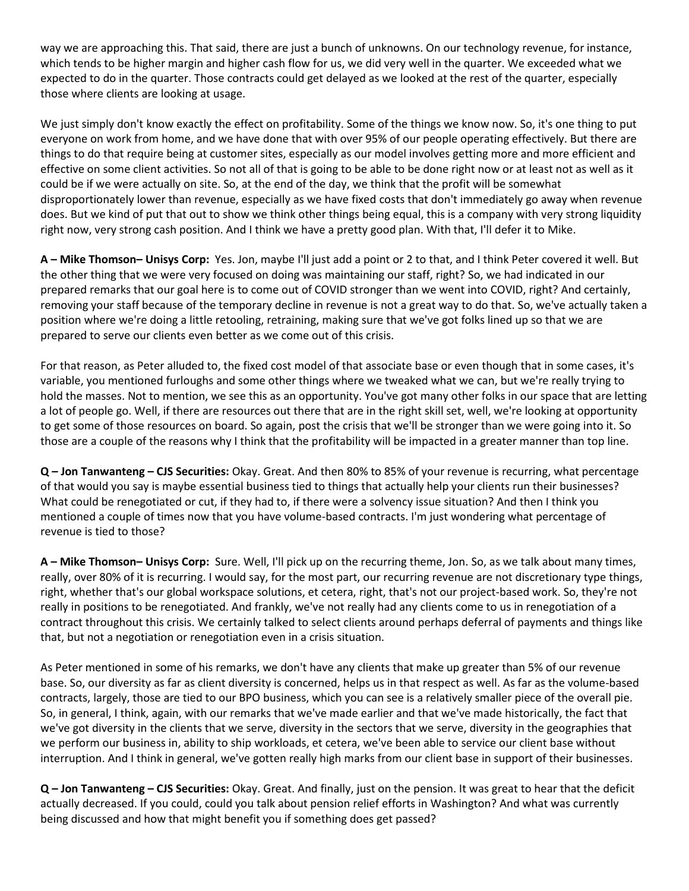way we are approaching this. That said, there are just a bunch of unknowns. On our technology revenue, for instance, which tends to be higher margin and higher cash flow for us, we did very well in the quarter. We exceeded what we expected to do in the quarter. Those contracts could get delayed as we looked at the rest of the quarter, especially those where clients are looking at usage.

We just simply don't know exactly the effect on profitability. Some of the things we know now. So, it's one thing to put everyone on work from home, and we have done that with over 95% of our people operating effectively. But there are things to do that require being at customer sites, especially as our model involves getting more and more efficient and effective on some client activities. So not all of that is going to be able to be done right now or at least not as well as it could be if we were actually on site. So, at the end of the day, we think that the profit will be somewhat disproportionately lower than revenue, especially as we have fixed costs that don't immediately go away when revenue does. But we kind of put that out to show we think other things being equal, this is a company with very strong liquidity right now, very strong cash position. And I think we have a pretty good plan. With that, I'll defer it to Mike.

**A – Mike Thomson– Unisys Corp:** Yes. Jon, maybe I'll just add a point or 2 to that, and I think Peter covered it well. But the other thing that we were very focused on doing was maintaining our staff, right? So, we had indicated in our prepared remarks that our goal here is to come out of COVID stronger than we went into COVID, right? And certainly, removing your staff because of the temporary decline in revenue is not a great way to do that. So, we've actually taken a position where we're doing a little retooling, retraining, making sure that we've got folks lined up so that we are prepared to serve our clients even better as we come out of this crisis.

For that reason, as Peter alluded to, the fixed cost model of that associate base or even though that in some cases, it's variable, you mentioned furloughs and some other things where we tweaked what we can, but we're really trying to hold the masses. Not to mention, we see this as an opportunity. You've got many other folks in our space that are letting a lot of people go. Well, if there are resources out there that are in the right skill set, well, we're looking at opportunity to get some of those resources on board. So again, post the crisis that we'll be stronger than we were going into it. So those are a couple of the reasons why I think that the profitability will be impacted in a greater manner than top line.

**Q – Jon Tanwanteng – CJS Securities:** Okay. Great. And then 80% to 85% of your revenue is recurring, what percentage of that would you say is maybe essential business tied to things that actually help your clients run their businesses? What could be renegotiated or cut, if they had to, if there were a solvency issue situation? And then I think you mentioned a couple of times now that you have volume-based contracts. I'm just wondering what percentage of revenue is tied to those?

**A – Mike Thomson– Unisys Corp:** Sure. Well, I'll pick up on the recurring theme, Jon. So, as we talk about many times, really, over 80% of it is recurring. I would say, for the most part, our recurring revenue are not discretionary type things, right, whether that's our global workspace solutions, et cetera, right, that's not our project-based work. So, they're not really in positions to be renegotiated. And frankly, we've not really had any clients come to us in renegotiation of a contract throughout this crisis. We certainly talked to select clients around perhaps deferral of payments and things like that, but not a negotiation or renegotiation even in a crisis situation.

As Peter mentioned in some of his remarks, we don't have any clients that make up greater than 5% of our revenue base. So, our diversity as far as client diversity is concerned, helps us in that respect as well. As far as the volume-based contracts, largely, those are tied to our BPO business, which you can see is a relatively smaller piece of the overall pie. So, in general, I think, again, with our remarks that we've made earlier and that we've made historically, the fact that we've got diversity in the clients that we serve, diversity in the sectors that we serve, diversity in the geographies that we perform our business in, ability to ship workloads, et cetera, we've been able to service our client base without interruption. And I think in general, we've gotten really high marks from our client base in support of their businesses.

**Q – Jon Tanwanteng – CJS Securities:** Okay. Great. And finally, just on the pension. It was great to hear that the deficit actually decreased. If you could, could you talk about pension relief efforts in Washington? And what was currently being discussed and how that might benefit you if something does get passed?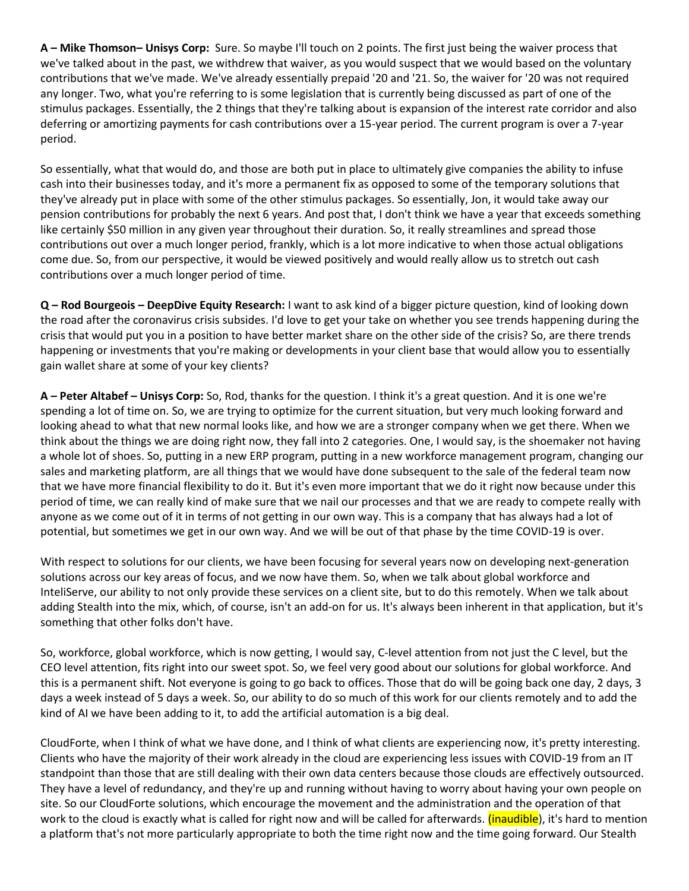**A – Mike Thomson– Unisys Corp:** Sure. So maybe I'll touch on 2 points. The first just being the waiver process that we've talked about in the past, we withdrew that waiver, as you would suspect that we would based on the voluntary contributions that we've made. We've already essentially prepaid '20 and '21. So, the waiver for '20 was not required any longer. Two, what you're referring to is some legislation that is currently being discussed as part of one of the stimulus packages. Essentially, the 2 things that they're talking about is expansion of the interest rate corridor and also deferring or amortizing payments for cash contributions over a 15-year period. The current program is over a 7-year period.

So essentially, what that would do, and those are both put in place to ultimately give companies the ability to infuse cash into their businesses today, and it's more a permanent fix as opposed to some of the temporary solutions that they've already put in place with some of the other stimulus packages. So essentially, Jon, it would take away our pension contributions for probably the next 6 years. And post that, I don't think we have a year that exceeds something like certainly \$50 million in any given year throughout their duration. So, it really streamlines and spread those contributions out over a much longer period, frankly, which is a lot more indicative to when those actual obligations come due. So, from our perspective, it would be viewed positively and would really allow us to stretch out cash contributions over a much longer period of time.

**Q – Rod Bourgeois – DeepDive Equity Research:** I want to ask kind of a bigger picture question, kind of looking down the road after the coronavirus crisis subsides. I'd love to get your take on whether you see trends happening during the crisis that would put you in a position to have better market share on the other side of the crisis? So, are there trends happening or investments that you're making or developments in your client base that would allow you to essentially gain wallet share at some of your key clients?

**A – Peter Altabef – Unisys Corp:** So, Rod, thanks for the question. I think it's a great question. And it is one we're spending a lot of time on. So, we are trying to optimize for the current situation, but very much looking forward and looking ahead to what that new normal looks like, and how we are a stronger company when we get there. When we think about the things we are doing right now, they fall into 2 categories. One, I would say, is the shoemaker not having a whole lot of shoes. So, putting in a new ERP program, putting in a new workforce management program, changing our sales and marketing platform, are all things that we would have done subsequent to the sale of the federal team now that we have more financial flexibility to do it. But it's even more important that we do it right now because under this period of time, we can really kind of make sure that we nail our processes and that we are ready to compete really with anyone as we come out of it in terms of not getting in our own way. This is a company that has always had a lot of potential, but sometimes we get in our own way. And we will be out of that phase by the time COVID-19 is over.

With respect to solutions for our clients, we have been focusing for several years now on developing next-generation solutions across our key areas of focus, and we now have them. So, when we talk about global workforce and InteliServe, our ability to not only provide these services on a client site, but to do this remotely. When we talk about adding Stealth into the mix, which, of course, isn't an add-on for us. It's always been inherent in that application, but it's something that other folks don't have.

So, workforce, global workforce, which is now getting, I would say, C-level attention from not just the C level, but the CEO level attention, fits right into our sweet spot. So, we feel very good about our solutions for global workforce. And this is a permanent shift. Not everyone is going to go back to offices. Those that do will be going back one day, 2 days, 3 days a week instead of 5 days a week. So, our ability to do so much of this work for our clients remotely and to add the kind of AI we have been adding to it, to add the artificial automation is a big deal.

CloudForte, when I think of what we have done, and I think of what clients are experiencing now, it's pretty interesting. Clients who have the majority of their work already in the cloud are experiencing less issues with COVID-19 from an IT standpoint than those that are still dealing with their own data centers because those clouds are effectively outsourced. They have a level of redundancy, and they're up and running without having to worry about having your own people on site. So our CloudForte solutions, which encourage the movement and the administration and the operation of that work to the cloud is exactly what is called for right now and will be called for afterwards. (*inaudible*), it's hard to mention a platform that's not more particularly appropriate to both the time right now and the time going forward. Our Stealth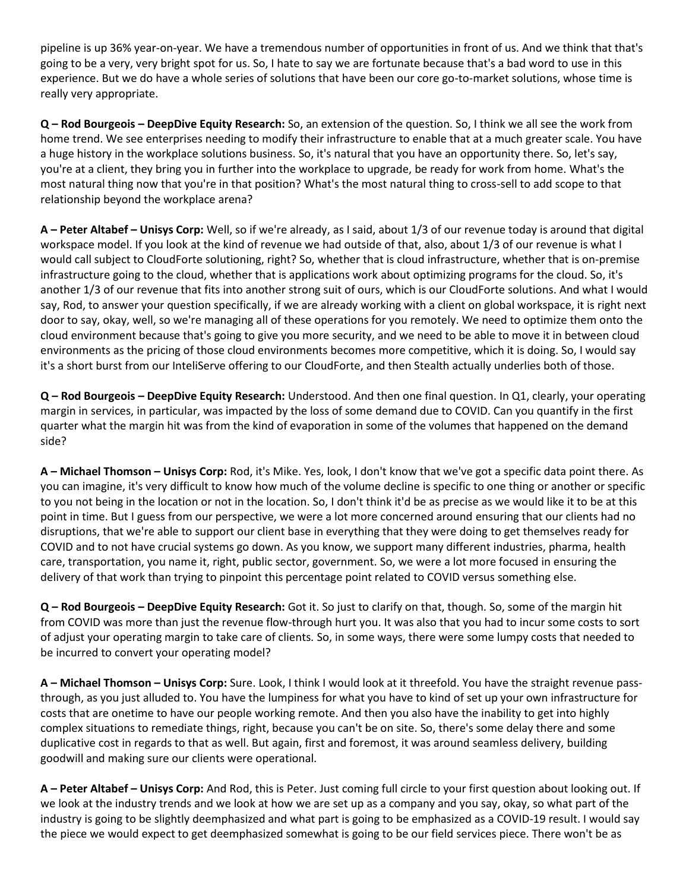pipeline is up 36% year-on-year. We have a tremendous number of opportunities in front of us. And we think that that's going to be a very, very bright spot for us. So, I hate to say we are fortunate because that's a bad word to use in this experience. But we do have a whole series of solutions that have been our core go-to-market solutions, whose time is really very appropriate.

**Q – Rod Bourgeois – DeepDive Equity Research:** So, an extension of the question. So, I think we all see the work from home trend. We see enterprises needing to modify their infrastructure to enable that at a much greater scale. You have a huge history in the workplace solutions business. So, it's natural that you have an opportunity there. So, let's say, you're at a client, they bring you in further into the workplace to upgrade, be ready for work from home. What's the most natural thing now that you're in that position? What's the most natural thing to cross-sell to add scope to that relationship beyond the workplace arena?

**A – Peter Altabef – Unisys Corp:** Well, so if we're already, as I said, about 1/3 of our revenue today is around that digital workspace model. If you look at the kind of revenue we had outside of that, also, about 1/3 of our revenue is what I would call subject to CloudForte solutioning, right? So, whether that is cloud infrastructure, whether that is on-premise infrastructure going to the cloud, whether that is applications work about optimizing programs for the cloud. So, it's another 1/3 of our revenue that fits into another strong suit of ours, which is our CloudForte solutions. And what I would say, Rod, to answer your question specifically, if we are already working with a client on global workspace, it is right next door to say, okay, well, so we're managing all of these operations for you remotely. We need to optimize them onto the cloud environment because that's going to give you more security, and we need to be able to move it in between cloud environments as the pricing of those cloud environments becomes more competitive, which it is doing. So, I would say it's a short burst from our InteliServe offering to our CloudForte, and then Stealth actually underlies both of those.

**Q – Rod Bourgeois – DeepDive Equity Research:** Understood. And then one final question. In Q1, clearly, your operating margin in services, in particular, was impacted by the loss of some demand due to COVID. Can you quantify in the first quarter what the margin hit was from the kind of evaporation in some of the volumes that happened on the demand side?

**A – Michael Thomson – Unisys Corp:** Rod, it's Mike. Yes, look, I don't know that we've got a specific data point there. As you can imagine, it's very difficult to know how much of the volume decline is specific to one thing or another or specific to you not being in the location or not in the location. So, I don't think it'd be as precise as we would like it to be at this point in time. But I guess from our perspective, we were a lot more concerned around ensuring that our clients had no disruptions, that we're able to support our client base in everything that they were doing to get themselves ready for COVID and to not have crucial systems go down. As you know, we support many different industries, pharma, health care, transportation, you name it, right, public sector, government. So, we were a lot more focused in ensuring the delivery of that work than trying to pinpoint this percentage point related to COVID versus something else.

**Q – Rod Bourgeois – DeepDive Equity Research:** Got it. So just to clarify on that, though. So, some of the margin hit from COVID was more than just the revenue flow-through hurt you. It was also that you had to incur some costs to sort of adjust your operating margin to take care of clients. So, in some ways, there were some lumpy costs that needed to be incurred to convert your operating model?

**A – Michael Thomson – Unisys Corp:** Sure. Look, I think I would look at it threefold. You have the straight revenue passthrough, as you just alluded to. You have the lumpiness for what you have to kind of set up your own infrastructure for costs that are onetime to have our people working remote. And then you also have the inability to get into highly complex situations to remediate things, right, because you can't be on site. So, there's some delay there and some duplicative cost in regards to that as well. But again, first and foremost, it was around seamless delivery, building goodwill and making sure our clients were operational.

**A – Peter Altabef – Unisys Corp:** And Rod, this is Peter. Just coming full circle to your first question about looking out. If we look at the industry trends and we look at how we are set up as a company and you say, okay, so what part of the industry is going to be slightly deemphasized and what part is going to be emphasized as a COVID-19 result. I would say the piece we would expect to get deemphasized somewhat is going to be our field services piece. There won't be as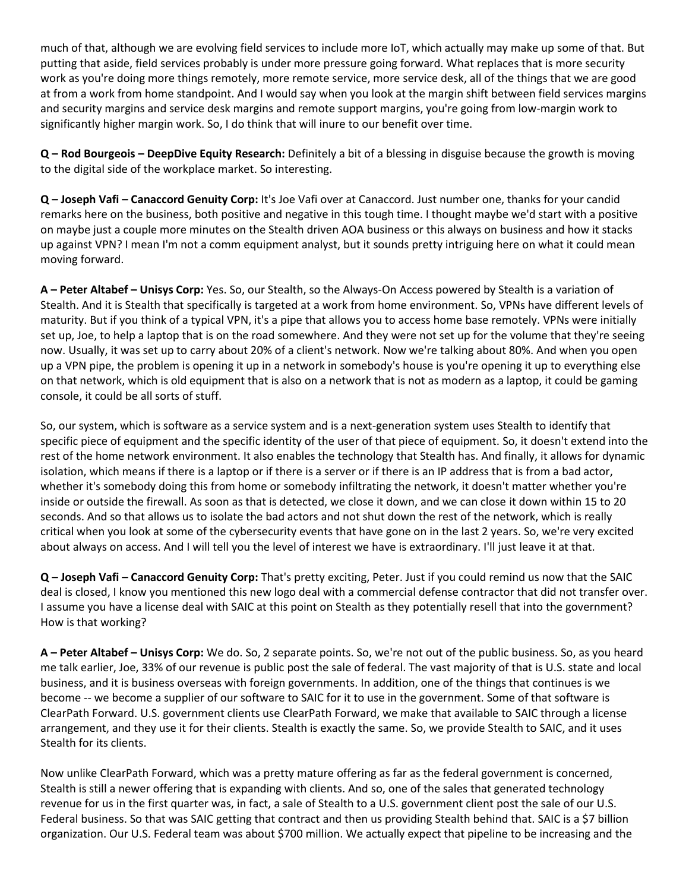much of that, although we are evolving field services to include more IoT, which actually may make up some of that. But putting that aside, field services probably is under more pressure going forward. What replaces that is more security work as you're doing more things remotely, more remote service, more service desk, all of the things that we are good at from a work from home standpoint. And I would say when you look at the margin shift between field services margins and security margins and service desk margins and remote support margins, you're going from low-margin work to significantly higher margin work. So, I do think that will inure to our benefit over time.

**Q – Rod Bourgeois – DeepDive Equity Research:** Definitely a bit of a blessing in disguise because the growth is moving to the digital side of the workplace market. So interesting.

**Q – Joseph Vafi – Canaccord Genuity Corp:** It's Joe Vafi over at Canaccord. Just number one, thanks for your candid remarks here on the business, both positive and negative in this tough time. I thought maybe we'd start with a positive on maybe just a couple more minutes on the Stealth driven AOA business or this always on business and how it stacks up against VPN? I mean I'm not a comm equipment analyst, but it sounds pretty intriguing here on what it could mean moving forward.

**A – Peter Altabef – Unisys Corp:** Yes. So, our Stealth, so the Always-On Access powered by Stealth is a variation of Stealth. And it is Stealth that specifically is targeted at a work from home environment. So, VPNs have different levels of maturity. But if you think of a typical VPN, it's a pipe that allows you to access home base remotely. VPNs were initially set up, Joe, to help a laptop that is on the road somewhere. And they were not set up for the volume that they're seeing now. Usually, it was set up to carry about 20% of a client's network. Now we're talking about 80%. And when you open up a VPN pipe, the problem is opening it up in a network in somebody's house is you're opening it up to everything else on that network, which is old equipment that is also on a network that is not as modern as a laptop, it could be gaming console, it could be all sorts of stuff.

So, our system, which is software as a service system and is a next-generation system uses Stealth to identify that specific piece of equipment and the specific identity of the user of that piece of equipment. So, it doesn't extend into the rest of the home network environment. It also enables the technology that Stealth has. And finally, it allows for dynamic isolation, which means if there is a laptop or if there is a server or if there is an IP address that is from a bad actor, whether it's somebody doing this from home or somebody infiltrating the network, it doesn't matter whether you're inside or outside the firewall. As soon as that is detected, we close it down, and we can close it down within 15 to 20 seconds. And so that allows us to isolate the bad actors and not shut down the rest of the network, which is really critical when you look at some of the cybersecurity events that have gone on in the last 2 years. So, we're very excited about always on access. And I will tell you the level of interest we have is extraordinary. I'll just leave it at that.

**Q – Joseph Vafi – Canaccord Genuity Corp:** That's pretty exciting, Peter. Just if you could remind us now that the SAIC deal is closed, I know you mentioned this new logo deal with a commercial defense contractor that did not transfer over. I assume you have a license deal with SAIC at this point on Stealth as they potentially resell that into the government? How is that working?

**A – Peter Altabef – Unisys Corp:** We do. So, 2 separate points. So, we're not out of the public business. So, as you heard me talk earlier, Joe, 33% of our revenue is public post the sale of federal. The vast majority of that is U.S. state and local business, and it is business overseas with foreign governments. In addition, one of the things that continues is we become -- we become a supplier of our software to SAIC for it to use in the government. Some of that software is ClearPath Forward. U.S. government clients use ClearPath Forward, we make that available to SAIC through a license arrangement, and they use it for their clients. Stealth is exactly the same. So, we provide Stealth to SAIC, and it uses Stealth for its clients.

Now unlike ClearPath Forward, which was a pretty mature offering as far as the federal government is concerned, Stealth is still a newer offering that is expanding with clients. And so, one of the sales that generated technology revenue for us in the first quarter was, in fact, a sale of Stealth to a U.S. government client post the sale of our U.S. Federal business. So that was SAIC getting that contract and then us providing Stealth behind that. SAIC is a \$7 billion organization. Our U.S. Federal team was about \$700 million. We actually expect that pipeline to be increasing and the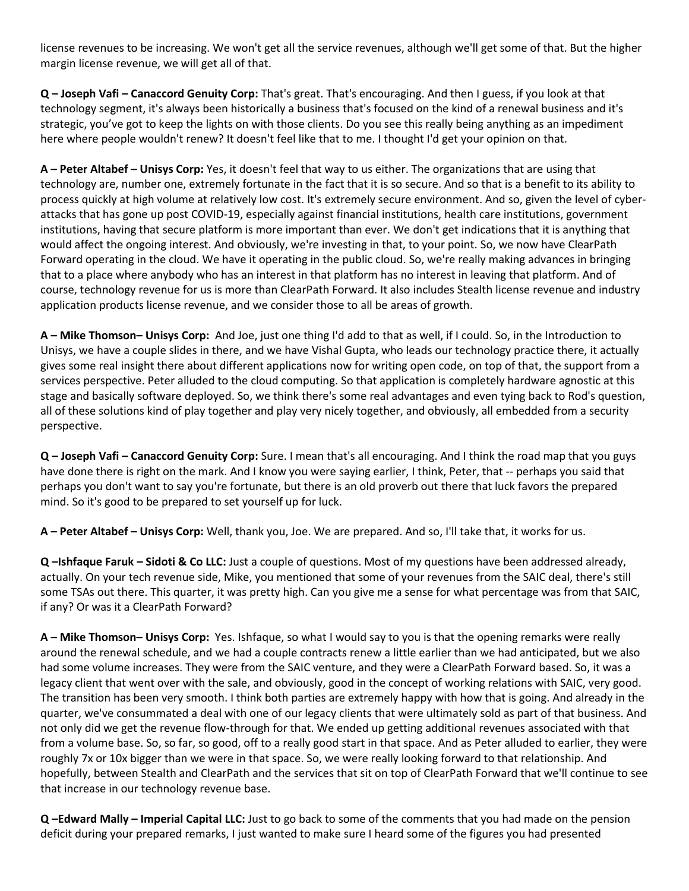license revenues to be increasing. We won't get all the service revenues, although we'll get some of that. But the higher margin license revenue, we will get all of that.

**Q – Joseph Vafi – Canaccord Genuity Corp:** That's great. That's encouraging. And then I guess, if you look at that technology segment, it's always been historically a business that's focused on the kind of a renewal business and it's strategic, you've got to keep the lights on with those clients. Do you see this really being anything as an impediment here where people wouldn't renew? It doesn't feel like that to me. I thought I'd get your opinion on that.

**A – Peter Altabef – Unisys Corp:** Yes, it doesn't feel that way to us either. The organizations that are using that technology are, number one, extremely fortunate in the fact that it is so secure. And so that is a benefit to its ability to process quickly at high volume at relatively low cost. It's extremely secure environment. And so, given the level of cyberattacks that has gone up post COVID-19, especially against financial institutions, health care institutions, government institutions, having that secure platform is more important than ever. We don't get indications that it is anything that would affect the ongoing interest. And obviously, we're investing in that, to your point. So, we now have ClearPath Forward operating in the cloud. We have it operating in the public cloud. So, we're really making advances in bringing that to a place where anybody who has an interest in that platform has no interest in leaving that platform. And of course, technology revenue for us is more than ClearPath Forward. It also includes Stealth license revenue and industry application products license revenue, and we consider those to all be areas of growth.

**A – Mike Thomson– Unisys Corp:** And Joe, just one thing I'd add to that as well, if I could. So, in the Introduction to Unisys, we have a couple slides in there, and we have Vishal Gupta, who leads our technology practice there, it actually gives some real insight there about different applications now for writing open code, on top of that, the support from a services perspective. Peter alluded to the cloud computing. So that application is completely hardware agnostic at this stage and basically software deployed. So, we think there's some real advantages and even tying back to Rod's question, all of these solutions kind of play together and play very nicely together, and obviously, all embedded from a security perspective.

**Q – Joseph Vafi – Canaccord Genuity Corp:** Sure. I mean that's all encouraging. And I think the road map that you guys have done there is right on the mark. And I know you were saying earlier, I think, Peter, that -- perhaps you said that perhaps you don't want to say you're fortunate, but there is an old proverb out there that luck favors the prepared mind. So it's good to be prepared to set yourself up for luck.

**A – Peter Altabef – Unisys Corp:** Well, thank you, Joe. We are prepared. And so, I'll take that, it works for us.

**Q –Ishfaque Faruk – Sidoti & Co LLC:** Just a couple of questions. Most of my questions have been addressed already, actually. On your tech revenue side, Mike, you mentioned that some of your revenues from the SAIC deal, there's still some TSAs out there. This quarter, it was pretty high. Can you give me a sense for what percentage was from that SAIC, if any? Or was it a ClearPath Forward?

**A – Mike Thomson– Unisys Corp:** Yes. Ishfaque, so what I would say to you is that the opening remarks were really around the renewal schedule, and we had a couple contracts renew a little earlier than we had anticipated, but we also had some volume increases. They were from the SAIC venture, and they were a ClearPath Forward based. So, it was a legacy client that went over with the sale, and obviously, good in the concept of working relations with SAIC, very good. The transition has been very smooth. I think both parties are extremely happy with how that is going. And already in the quarter, we've consummated a deal with one of our legacy clients that were ultimately sold as part of that business. And not only did we get the revenue flow-through for that. We ended up getting additional revenues associated with that from a volume base. So, so far, so good, off to a really good start in that space. And as Peter alluded to earlier, they were roughly 7x or 10x bigger than we were in that space. So, we were really looking forward to that relationship. And hopefully, between Stealth and ClearPath and the services that sit on top of ClearPath Forward that we'll continue to see that increase in our technology revenue base.

**Q –Edward Mally – Imperial Capital LLC:** Just to go back to some of the comments that you had made on the pension deficit during your prepared remarks, I just wanted to make sure I heard some of the figures you had presented